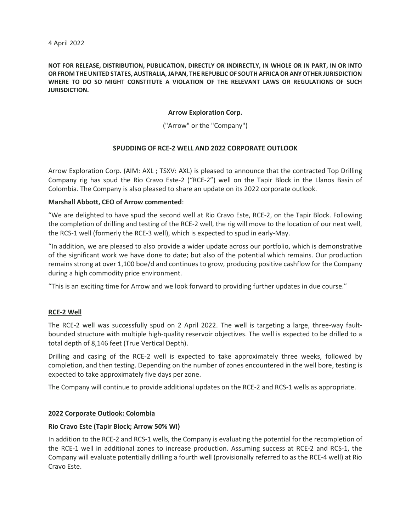#### NOT FOR RELEASE, DISTRIBUTION, PUBLICATION, DIRECTLY OR INDIRECTLY, IN WHOLE OR IN PART, IN OR INTO OR FROM THE UNITED STATES, AUSTRALIA, JAPAN, THE REPUBLIC OF SOUTH AFRICA OR ANY OTHER JURISDICTION WHERE TO DO SO MIGHT CONSTITUTE A VIOLATION OF THE RELEVANT LAWS OR REGULATIONS OF SUCH JURISDICTION.

## Arrow Exploration Corp.

("Arrow" or the "Company")

# SPUDDING OF RCE-2 WELL AND 2022 CORPORATE OUTLOOK

Arrow Exploration Corp. (AIM: AXL ; TSXV: AXL) is pleased to announce that the contracted Top Drilling Company rig has spud the Rio Cravo Este-2 ("RCE-2") well on the Tapir Block in the Llanos Basin of Colombia. The Company is also pleased to share an update on its 2022 corporate outlook.

### Marshall Abbott, CEO of Arrow commented:

"We are delighted to have spud the second well at Rio Cravo Este, RCE-2, on the Tapir Block. Following the completion of drilling and testing of the RCE-2 well, the rig will move to the location of our next well, the RCS-1 well (formerly the RCE-3 well), which is expected to spud in early-May.

"In addition, we are pleased to also provide a wider update across our portfolio, which is demonstrative of the significant work we have done to date; but also of the potential which remains. Our production remains strong at over 1,100 boe/d and continues to grow, producing positive cashflow for the Company during a high commodity price environment.

"This is an exciting time for Arrow and we look forward to providing further updates in due course."

### RCE-2 Well

The RCE-2 well was successfully spud on 2 April 2022. The well is targeting a large, three-way faultbounded structure with multiple high-quality reservoir objectives. The well is expected to be drilled to a total depth of 8,146 feet (True Vertical Depth).

Drilling and casing of the RCE-2 well is expected to take approximately three weeks, followed by completion, and then testing. Depending on the number of zones encountered in the well bore, testing is expected to take approximately five days per zone.

The Company will continue to provide additional updates on the RCE-2 and RCS-1 wells as appropriate.

### 2022 Corporate Outlook: Colombia

### Rio Cravo Este (Tapir Block; Arrow 50% WI)

In addition to the RCE-2 and RCS-1 wells, the Company is evaluating the potential for the recompletion of the RCE-1 well in additional zones to increase production. Assuming success at RCE-2 and RCS-1, the Company will evaluate potentially drilling a fourth well (provisionally referred to as the RCE-4 well) at Rio Cravo Este.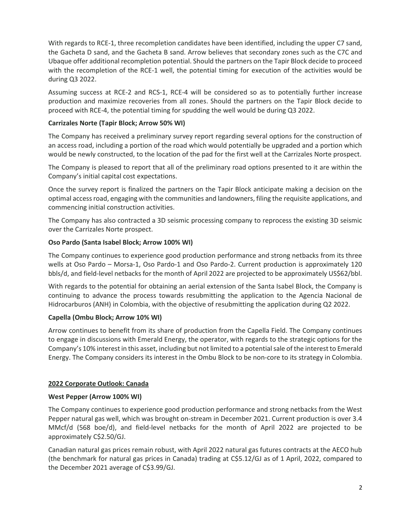With regards to RCE-1, three recompletion candidates have been identified, including the upper C7 sand, the Gacheta D sand, and the Gacheta B sand. Arrow believes that secondary zones such as the C7C and Ubaque offer additional recompletion potential. Should the partners on the Tapir Block decide to proceed with the recompletion of the RCE-1 well, the potential timing for execution of the activities would be during Q3 2022.

Assuming success at RCE-2 and RCS-1, RCE-4 will be considered so as to potentially further increase production and maximize recoveries from all zones. Should the partners on the Tapir Block decide to proceed with RCE-4, the potential timing for spudding the well would be during Q3 2022.

# Carrizales Norte (Tapir Block; Arrow 50% WI)

The Company has received a preliminary survey report regarding several options for the construction of an access road, including a portion of the road which would potentially be upgraded and a portion which would be newly constructed, to the location of the pad for the first well at the Carrizales Norte prospect.

The Company is pleased to report that all of the preliminary road options presented to it are within the Company's initial capital cost expectations.

Once the survey report is finalized the partners on the Tapir Block anticipate making a decision on the optimal access road, engaging with the communities and landowners, filing the requisite applications, and commencing initial construction activities.

The Company has also contracted a 3D seismic processing company to reprocess the existing 3D seismic over the Carrizales Norte prospect.

# Oso Pardo (Santa Isabel Block; Arrow 100% WI)

The Company continues to experience good production performance and strong netbacks from its three wells at Oso Pardo – Morsa-1, Oso Pardo-1 and Oso Pardo-2. Current production is approximately 120 bbls/d, and field-level netbacks for the month of April 2022 are projected to be approximately US\$62/bbl.

With regards to the potential for obtaining an aerial extension of the Santa Isabel Block, the Company is continuing to advance the process towards resubmitting the application to the Agencia Nacional de Hidrocarburos (ANH) in Colombia, with the objective of resubmitting the application during Q2 2022.

### Capella (Ombu Block; Arrow 10% WI)

Arrow continues to benefit from its share of production from the Capella Field. The Company continues to engage in discussions with Emerald Energy, the operator, with regards to the strategic options for the Company's 10% interest in this asset, including but not limited to a potential sale of the interest to Emerald Energy. The Company considers its interest in the Ombu Block to be non-core to its strategy in Colombia.

### 2022 Corporate Outlook: Canada

### West Pepper (Arrow 100% WI)

The Company continues to experience good production performance and strong netbacks from the West Pepper natural gas well, which was brought on-stream in December 2021. Current production is over 3.4 MMcf/d (568 boe/d), and field-level netbacks for the month of April 2022 are projected to be approximately C\$2.50/GJ.

Canadian natural gas prices remain robust, with April 2022 natural gas futures contracts at the AECO hub (the benchmark for natural gas prices in Canada) trading at C\$5.12/GJ as of 1 April, 2022, compared to the December 2021 average of C\$3.99/GJ.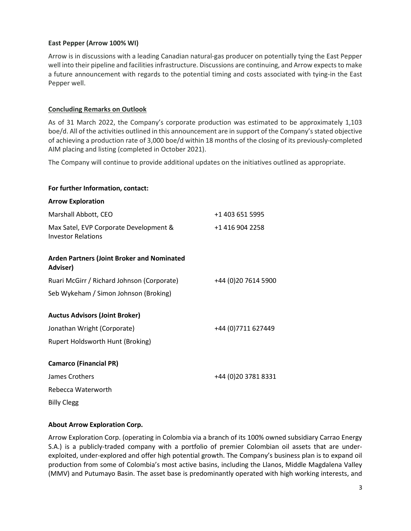# East Pepper (Arrow 100% WI)

Arrow is in discussions with a leading Canadian natural-gas producer on potentially tying the East Pepper well into their pipeline and facilities infrastructure. Discussions are continuing, and Arrow expects to make a future announcement with regards to the potential timing and costs associated with tying-in the East Pepper well.

# Concluding Remarks on Outlook

As of 31 March 2022, the Company's corporate production was estimated to be approximately 1,103 boe/d. All of the activities outlined in this announcement are in support of the Company's stated objective of achieving a production rate of 3,000 boe/d within 18 months of the closing of its previously-completed AIM placing and listing (completed in October 2021).

The Company will continue to provide additional updates on the initiatives outlined as appropriate.

| For further Information, contact:                                   |                      |
|---------------------------------------------------------------------|----------------------|
| <b>Arrow Exploration</b>                                            |                      |
| Marshall Abbott, CEO                                                | +1 403 651 5995      |
| Max Satel, EVP Corporate Development &<br><b>Investor Relations</b> | +1 416 904 2258      |
| <b>Arden Partners (Joint Broker and Nominated</b><br>Adviser)       |                      |
| Ruari McGirr / Richard Johnson (Corporate)                          | +44 (0) 20 7614 5900 |
| Seb Wykeham / Simon Johnson (Broking)                               |                      |
| <b>Auctus Advisors (Joint Broker)</b>                               |                      |
| Jonathan Wright (Corporate)                                         | +44 (0) 7711 627449  |
| Rupert Holdsworth Hunt (Broking)                                    |                      |
| <b>Camarco (Financial PR)</b>                                       |                      |
| James Crothers                                                      | +44 (0) 20 3781 8331 |
| Rebecca Waterworth                                                  |                      |
| <b>Billy Clegg</b>                                                  |                      |
|                                                                     |                      |

# About Arrow Exploration Corp.

Arrow Exploration Corp. (operating in Colombia via a branch of its 100% owned subsidiary Carrao Energy S.A.) is a publicly-traded company with a portfolio of premier Colombian oil assets that are underexploited, under-explored and offer high potential growth. The Company's business plan is to expand oil production from some of Colombia's most active basins, including the Llanos, Middle Magdalena Valley (MMV) and Putumayo Basin. The asset base is predominantly operated with high working interests, and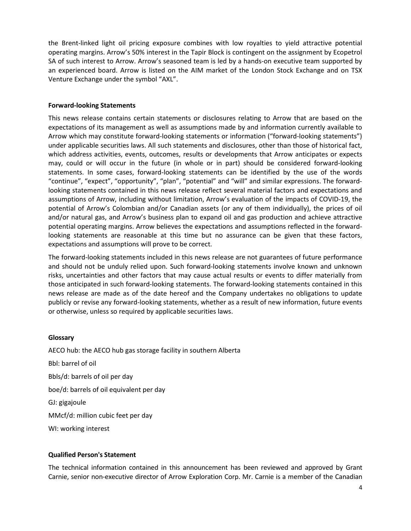the Brent-linked light oil pricing exposure combines with low royalties to yield attractive potential operating margins. Arrow's 50% interest in the Tapir Block is contingent on the assignment by Ecopetrol SA of such interest to Arrow. Arrow's seasoned team is led by a hands-on executive team supported by an experienced board. Arrow is listed on the AIM market of the London Stock Exchange and on TSX Venture Exchange under the symbol "AXL".

#### Forward-looking Statements

This news release contains certain statements or disclosures relating to Arrow that are based on the expectations of its management as well as assumptions made by and information currently available to Arrow which may constitute forward-looking statements or information ("forward-looking statements") under applicable securities laws. All such statements and disclosures, other than those of historical fact, which address activities, events, outcomes, results or developments that Arrow anticipates or expects may, could or will occur in the future (in whole or in part) should be considered forward-looking statements. In some cases, forward-looking statements can be identified by the use of the words "continue", "expect", "opportunity", "plan", "potential" and "will" and similar expressions. The forwardlooking statements contained in this news release reflect several material factors and expectations and assumptions of Arrow, including without limitation, Arrow's evaluation of the impacts of COVID-19, the potential of Arrow's Colombian and/or Canadian assets (or any of them individually), the prices of oil and/or natural gas, and Arrow's business plan to expand oil and gas production and achieve attractive potential operating margins. Arrow believes the expectations and assumptions reflected in the forwardlooking statements are reasonable at this time but no assurance can be given that these factors, expectations and assumptions will prove to be correct.

The forward-looking statements included in this news release are not guarantees of future performance and should not be unduly relied upon. Such forward-looking statements involve known and unknown risks, uncertainties and other factors that may cause actual results or events to differ materially from those anticipated in such forward-looking statements. The forward-looking statements contained in this news release are made as of the date hereof and the Company undertakes no obligations to update publicly or revise any forward-looking statements, whether as a result of new information, future events or otherwise, unless so required by applicable securities laws.

### Glossary

AECO hub: the AECO hub gas storage facility in southern Alberta Bbl: barrel of oil Bbls/d: barrels of oil per day boe/d: barrels of oil equivalent per day GJ: gigajoule MMcf/d: million cubic feet per day WI: working interest

#### Qualified Person's Statement

The technical information contained in this announcement has been reviewed and approved by Grant Carnie, senior non-executive director of Arrow Exploration Corp. Mr. Carnie is a member of the Canadian